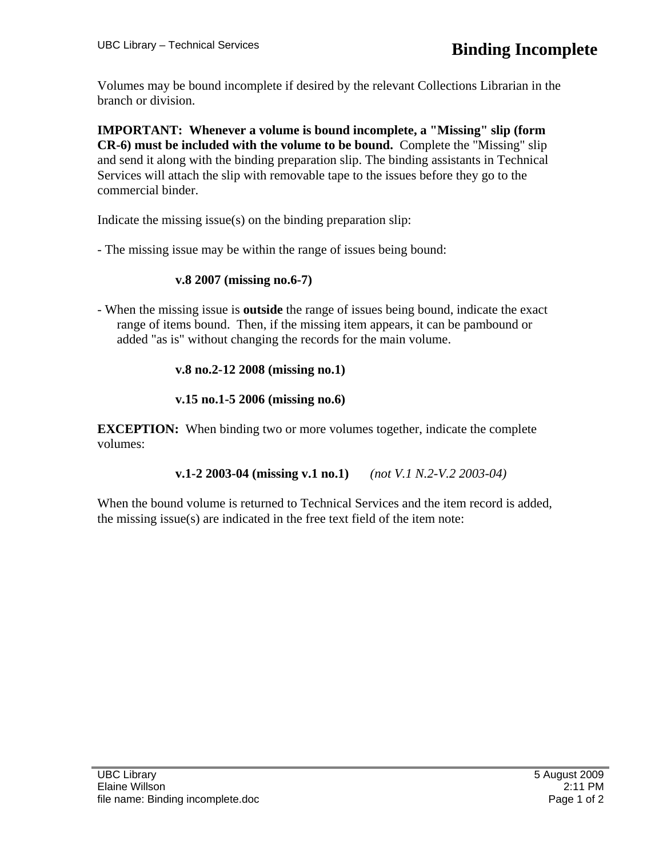Volumes may be bound incomplete if desired by the relevant Collections Librarian in the branch or division.

**IMPORTANT: Whenever a volume is bound incomplete, a "Missing" slip (form CR-6) must be included with the volume to be bound.** Complete the "Missing" slip and send it along with the binding preparation slip. The binding assistants in Technical Services will attach the slip with removable tape to the issues before they go to the commercial binder.

Indicate the missing issue(s) on the binding preparation slip:

- The missing issue may be within the range of issues being bound:

## **v.8 2007 (missing no.6-7)**

- When the missing issue is **outside** the range of issues being bound, indicate the exact range of items bound. Then, if the missing item appears, it can be pambound or added "as is" without changing the records for the main volume.

## **v.8 no.2-12 2008 (missing no.1)**

## **v.15 no.1-5 2006 (missing no.6)**

**EXCEPTION:** When binding two or more volumes together, indicate the complete volumes:

**v.1-2 2003-04 (missing v.1 no.1)** *(not V.1 N.2-V.2 2003-04)* 

When the bound volume is returned to Technical Services and the item record is added, the missing issue(s) are indicated in the free text field of the item note: